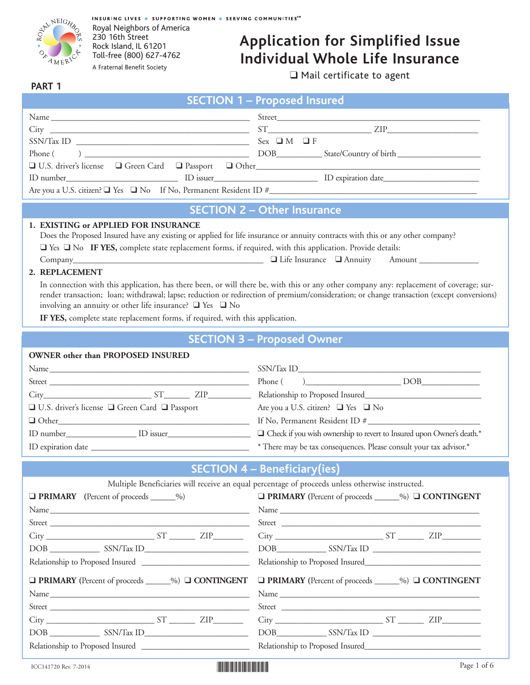

INSURING LIVES . SUPPORTING WOMEN . SERVING COMMUNITIES<sup>SM</sup> Royal Neighbors of America 230 16th Street Rock Island, IL 61201 Toll-free (800) 627-4762A Fraternal Benefit Society

# **Application for Simplified Issue Individual Whole Life Insurance**

❑ Mail certificate to agent

#### **PART 1**

|                                                                                                                                                                                                                                                                                                                                                                                                                                                                                                                                                                                            | <b>SECTION 1 - Proposed Insured</b>                                                                                                                                                                                                                                                                                                                                                                                                                |
|--------------------------------------------------------------------------------------------------------------------------------------------------------------------------------------------------------------------------------------------------------------------------------------------------------------------------------------------------------------------------------------------------------------------------------------------------------------------------------------------------------------------------------------------------------------------------------------------|----------------------------------------------------------------------------------------------------------------------------------------------------------------------------------------------------------------------------------------------------------------------------------------------------------------------------------------------------------------------------------------------------------------------------------------------------|
|                                                                                                                                                                                                                                                                                                                                                                                                                                                                                                                                                                                            |                                                                                                                                                                                                                                                                                                                                                                                                                                                    |
|                                                                                                                                                                                                                                                                                                                                                                                                                                                                                                                                                                                            |                                                                                                                                                                                                                                                                                                                                                                                                                                                    |
|                                                                                                                                                                                                                                                                                                                                                                                                                                                                                                                                                                                            | $Sex \t M \t F$                                                                                                                                                                                                                                                                                                                                                                                                                                    |
| Phone (                                                                                                                                                                                                                                                                                                                                                                                                                                                                                                                                                                                    | $\overbrace{ )$ $\overbrace{ )$ $\overbrace{ )$ $\overbrace{ )$ $\overbrace{ )}}$ $\overbrace{ )$ $\overbrace{ )$ $\overbrace{ )}}$ $\overbrace{ )$ $\overbrace{ )$ $\overbrace{ )}}$ $\overbrace{ )$ $\overbrace{ )}}$ $\overbrace{ )$ $\overbrace{ )}$ $\overbrace{ )}$ $\overbrace{ )}$ $\overbrace{ )}$ $\overbrace{ )}$ $\overbrace{ )}$ $\overbrace{ )}$ $\overbrace{ )}$ $\overbrace{ )}$ $\overbrace{ )}$ $\overbrace{ )}$ $\overbrace{ )$ |
|                                                                                                                                                                                                                                                                                                                                                                                                                                                                                                                                                                                            |                                                                                                                                                                                                                                                                                                                                                                                                                                                    |
| ID number                                                                                                                                                                                                                                                                                                                                                                                                                                                                                                                                                                                  |                                                                                                                                                                                                                                                                                                                                                                                                                                                    |
|                                                                                                                                                                                                                                                                                                                                                                                                                                                                                                                                                                                            |                                                                                                                                                                                                                                                                                                                                                                                                                                                    |
|                                                                                                                                                                                                                                                                                                                                                                                                                                                                                                                                                                                            | <b>SECTION 2 - Other Insurance</b>                                                                                                                                                                                                                                                                                                                                                                                                                 |
| 1. EXISTING or APPLIED FOR INSURANCE                                                                                                                                                                                                                                                                                                                                                                                                                                                                                                                                                       |                                                                                                                                                                                                                                                                                                                                                                                                                                                    |
| Does the Proposed Insured have any existing or applied for life insurance or annuity contracts with this or any other company?                                                                                                                                                                                                                                                                                                                                                                                                                                                             |                                                                                                                                                                                                                                                                                                                                                                                                                                                    |
| The Vester No IF YES, complete state replacement forms, if required, with this application. Provide details:                                                                                                                                                                                                                                                                                                                                                                                                                                                                               |                                                                                                                                                                                                                                                                                                                                                                                                                                                    |
|                                                                                                                                                                                                                                                                                                                                                                                                                                                                                                                                                                                            |                                                                                                                                                                                                                                                                                                                                                                                                                                                    |
| 2. REPLACEMENT                                                                                                                                                                                                                                                                                                                                                                                                                                                                                                                                                                             |                                                                                                                                                                                                                                                                                                                                                                                                                                                    |
|                                                                                                                                                                                                                                                                                                                                                                                                                                                                                                                                                                                            | In connection with this application, has there been, or will there be, with this or any other company any: replacement of coverage; sur-<br>render transaction; loan; withdrawal; lapse; reduction or redirection of premium/consideration; or change transaction (except conversions)                                                                                                                                                             |
| involving an annuity or other life insurance? $\Box$ Yes $\Box$ No                                                                                                                                                                                                                                                                                                                                                                                                                                                                                                                         |                                                                                                                                                                                                                                                                                                                                                                                                                                                    |
| IF YES, complete state replacement forms, if required, with this application.                                                                                                                                                                                                                                                                                                                                                                                                                                                                                                              |                                                                                                                                                                                                                                                                                                                                                                                                                                                    |
|                                                                                                                                                                                                                                                                                                                                                                                                                                                                                                                                                                                            |                                                                                                                                                                                                                                                                                                                                                                                                                                                    |
|                                                                                                                                                                                                                                                                                                                                                                                                                                                                                                                                                                                            | <b>SECTION 3 - Proposed Owner</b>                                                                                                                                                                                                                                                                                                                                                                                                                  |
| OWNER other than PROPOSED INSURED                                                                                                                                                                                                                                                                                                                                                                                                                                                                                                                                                          |                                                                                                                                                                                                                                                                                                                                                                                                                                                    |
|                                                                                                                                                                                                                                                                                                                                                                                                                                                                                                                                                                                            |                                                                                                                                                                                                                                                                                                                                                                                                                                                    |
|                                                                                                                                                                                                                                                                                                                                                                                                                                                                                                                                                                                            | $Phone( )$ DOB                                                                                                                                                                                                                                                                                                                                                                                                                                     |
| $City$ $ST$ $ZIP$                                                                                                                                                                                                                                                                                                                                                                                                                                                                                                                                                                          |                                                                                                                                                                                                                                                                                                                                                                                                                                                    |
| □ U.S. driver's license □ Green Card □ Passport                                                                                                                                                                                                                                                                                                                                                                                                                                                                                                                                            | Are you a U.S. citizen? □ Yes □ No                                                                                                                                                                                                                                                                                                                                                                                                                 |
|                                                                                                                                                                                                                                                                                                                                                                                                                                                                                                                                                                                            |                                                                                                                                                                                                                                                                                                                                                                                                                                                    |
|                                                                                                                                                                                                                                                                                                                                                                                                                                                                                                                                                                                            | $\Box$ Check if you wish ownership to revert to Insured upon Owner's death.*                                                                                                                                                                                                                                                                                                                                                                       |
|                                                                                                                                                                                                                                                                                                                                                                                                                                                                                                                                                                                            | * There may be tax consequences. Please consult your tax advisor.*                                                                                                                                                                                                                                                                                                                                                                                 |
|                                                                                                                                                                                                                                                                                                                                                                                                                                                                                                                                                                                            | <b>SECTION 4 - Beneficiary (ies)</b>                                                                                                                                                                                                                                                                                                                                                                                                               |
|                                                                                                                                                                                                                                                                                                                                                                                                                                                                                                                                                                                            | Multiple Beneficiaries will receive an equal percentage of proceeds unless otherwise instructed.                                                                                                                                                                                                                                                                                                                                                   |
| <b>D</b> PRIMARY (Percent of proceeds ______%)                                                                                                                                                                                                                                                                                                                                                                                                                                                                                                                                             | □ PRIMARY (Percent of proceeds _____%) □ CONTINGENT                                                                                                                                                                                                                                                                                                                                                                                                |
|                                                                                                                                                                                                                                                                                                                                                                                                                                                                                                                                                                                            |                                                                                                                                                                                                                                                                                                                                                                                                                                                    |
|                                                                                                                                                                                                                                                                                                                                                                                                                                                                                                                                                                                            |                                                                                                                                                                                                                                                                                                                                                                                                                                                    |
| $City$ $ST$ $ZIP$                                                                                                                                                                                                                                                                                                                                                                                                                                                                                                                                                                          | $City$ $ST$ $ZIP$ $ZIP$                                                                                                                                                                                                                                                                                                                                                                                                                            |
| $\begin{tabular}{c} DOB \begin{tabular}{@{}c@{}} \quad {\bf \textcolor{blue}{\bf \textcolor{blue}{\bf \textcolor{blue}{\bf \textcolor{blue}{\bf \textcolor{blue}{\bf \textcolor{blue}{\bf \textcolor{blue}{\bf \textcolor{blue}{\bf \textcolor{blue}{\bf \textcolor{blue}{\bf \textcolor{blue}{\bf \textcolor{blue}{\bf \textcolor{blue}{\bf \textcolor{blue}{\bf \textcolor{blue}{\bf \textcolor{blue}{\bf \textcolor{blue}{\bf \textcolor{blue}{\bf \textcolor{blue}{\bf \textcolor{blue}{\bf \textcolor{blue}{\bf \textcolor{blue}{\bf \textcolor{blue}{\bf \textcolor{blue}{\bf \text$ |                                                                                                                                                                                                                                                                                                                                                                                                                                                    |
| Relationship to Proposed Insured                                                                                                                                                                                                                                                                                                                                                                                                                                                                                                                                                           |                                                                                                                                                                                                                                                                                                                                                                                                                                                    |
| □ PRIMARY (Percent of proceeds _____%) □ CONTINGENT                                                                                                                                                                                                                                                                                                                                                                                                                                                                                                                                        | □ PRIMARY (Percent of proceeds _____%) □ CONTINGENT                                                                                                                                                                                                                                                                                                                                                                                                |
| Name                                                                                                                                                                                                                                                                                                                                                                                                                                                                                                                                                                                       |                                                                                                                                                                                                                                                                                                                                                                                                                                                    |
|                                                                                                                                                                                                                                                                                                                                                                                                                                                                                                                                                                                            |                                                                                                                                                                                                                                                                                                                                                                                                                                                    |
| $City$ $ST$ $ZIP$                                                                                                                                                                                                                                                                                                                                                                                                                                                                                                                                                                          | $City$ $ST$ $ZIP$                                                                                                                                                                                                                                                                                                                                                                                                                                  |
| DOB SSN/Tax ID                                                                                                                                                                                                                                                                                                                                                                                                                                                                                                                                                                             | DOB SSN/Tax ID                                                                                                                                                                                                                                                                                                                                                                                                                                     |

Relationship to Proposed Insured \_\_\_\_\_\_\_\_\_\_\_\_\_\_\_\_\_\_\_\_\_\_\_\_\_\_ Relationship to Proposed Insured\_\_\_\_\_\_\_\_\_\_\_\_\_\_\_\_\_\_\_\_\_\_\_\_\_\_\_\_

| ICC141720 Rev. 7-2014 | Page 1 of 6 |
|-----------------------|-------------|
|-----------------------|-------------|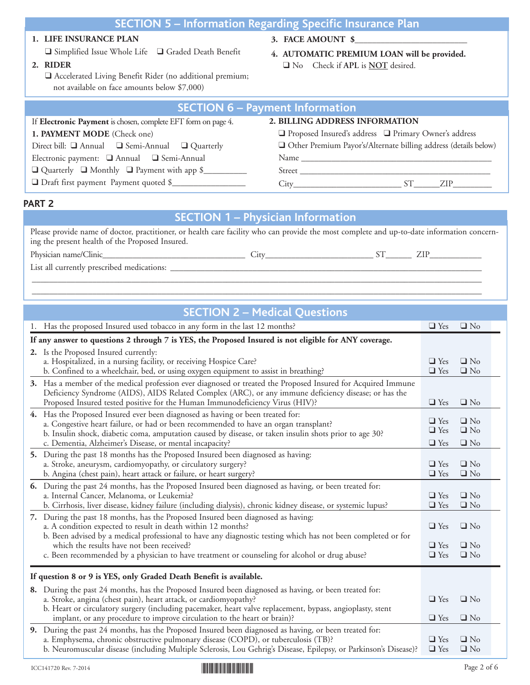# **SECTION 5 – Information Regarding Specific Insurance Plan**

#### **1. LIFE INSURANCE PLAN**

❑ Simplified Issue Whole Life ❑ Graded Death Benefit

**2. RIDER**

❑ Accelerated Living Benefit Rider (no additional premium; not available on face amounts below \$7,000)

- **3. FACE AMOUNT \$**\_\_\_\_\_\_\_\_\_\_\_\_\_\_\_\_\_\_\_\_\_\_\_\_\_\_
- **4. AUTOMATIC PREMIUM LOAN will be provided.** ❑ No Check if **APL** is **NOT** desired.

| <b>SECTION 6 - Payment Information</b>                         |                                                                  |  |  |  |  |
|----------------------------------------------------------------|------------------------------------------------------------------|--|--|--|--|
| If Electronic Payment is chosen, complete EFT form on page 4.  | 2. BILLING ADDRESS INFORMATION                                   |  |  |  |  |
| 1. PAYMENT MODE (Check one)                                    | $\Box$ Proposed Insured's address $\Box$ Primary Owner's address |  |  |  |  |
| Direct bill: $\Box$ Annual $\Box$ Semi-Annual $\Box$ Quarterly | Other Premium Payor's/Alternate billing address (details below)  |  |  |  |  |
| Electronic payment: □ Annual □ Semi-Annual                     |                                                                  |  |  |  |  |
| $\Box$ Quarterly $\Box$ Monthly $\Box$ Payment with app \$     |                                                                  |  |  |  |  |
| □ Draft first payment Payment quoted \$                        | ST <sup>-</sup><br>ZIP.                                          |  |  |  |  |

#### **PART 2**

#### **SECTION 1 – Physician Information**

Please provide name of doctor, practitioner, or health care facility who can provide the most complete and up-to-date information concerning the present health of the Proposed Insured.

Physician name/Clinic\_\_\_\_\_\_\_\_\_\_\_\_\_\_\_\_\_\_\_\_\_\_\_\_\_\_\_\_\_\_\_\_\_ City\_\_\_\_\_\_\_\_\_\_\_\_\_\_\_\_\_\_\_\_\_\_\_\_\_ ST\_\_\_\_\_\_ ZIP\_\_\_\_\_\_\_\_\_\_\_\_

List all currently prescribed medications: \_\_\_\_\_\_\_\_\_\_\_\_\_\_\_\_\_\_\_\_\_\_\_\_\_\_\_\_\_\_\_\_\_\_\_\_\_\_\_\_\_\_\_\_\_\_\_\_\_\_\_\_\_\_\_\_\_\_\_\_\_\_\_\_\_\_\_\_\_\_\_\_

| <b>SECTION 2 - Medical Questions</b> |
|--------------------------------------|
|--------------------------------------|

\_\_\_\_\_\_\_\_\_\_\_\_\_\_\_\_\_\_\_\_\_\_\_\_\_\_\_\_\_\_\_\_\_\_\_\_\_\_\_\_\_\_\_\_\_\_\_\_\_\_\_\_\_\_\_\_\_\_\_\_\_\_\_\_\_\_\_\_\_\_\_\_\_\_\_\_\_\_\_\_\_\_\_\_\_\_\_\_\_\_\_\_\_\_\_\_\_\_\_\_\_\_\_\_ \_\_\_\_\_\_\_\_\_\_\_\_\_\_\_\_\_\_\_\_\_\_\_\_\_\_\_\_\_\_\_\_\_\_\_\_\_\_\_\_\_\_\_\_\_\_\_\_\_\_\_\_\_\_\_\_\_\_\_\_\_\_\_\_\_\_\_\_\_\_\_\_\_\_\_\_\_\_\_\_\_\_\_\_\_\_\_\_\_\_\_\_\_\_\_\_\_\_\_\_\_\_\_\_

|                                                                    | 1. Has the proposed Insured used tobacco in any form in the last 12 months?                                                                                                                                                                                                                                                                                                                                    | $\Box$ Yes                             | $\Box$ No                           |  |  |  |
|--------------------------------------------------------------------|----------------------------------------------------------------------------------------------------------------------------------------------------------------------------------------------------------------------------------------------------------------------------------------------------------------------------------------------------------------------------------------------------------------|----------------------------------------|-------------------------------------|--|--|--|
|                                                                    | If any answer to questions 2 through 7 is YES, the Proposed Insured is not eligible for ANY coverage.                                                                                                                                                                                                                                                                                                          |                                        |                                     |  |  |  |
|                                                                    | 2. Is the Proposed Insured currently:<br>a. Hospitalized, in a nursing facility, or receiving Hospice Care?<br>b. Confined to a wheelchair, bed, or using oxygen equipment to assist in breathing?                                                                                                                                                                                                             | $\Box$ Yes<br>$\Box$ Yes               | $\Box$ No<br>$\Box$ No              |  |  |  |
|                                                                    | 3. Has a member of the medical profession ever diagnosed or treated the Proposed Insured for Acquired Immune<br>Deficiency Syndrome (AIDS), AIDS Related Complex (ARC), or any immune deficiency disease; or has the<br>Proposed Insured tested positive for the Human Immunodeficiency Virus (HIV)?                                                                                                           | $\Box$ Yes                             | $\Box$ No                           |  |  |  |
|                                                                    | 4. Has the Proposed Insured ever been diagnosed as having or been treated for:<br>a. Congestive heart failure, or had or been recommended to have an organ transplant?<br>b. Insulin shock, diabetic coma, amputation caused by disease, or taken insulin shots prior to age 30?<br>c. Dementia, Alzheimer's Disease, or mental incapacity?                                                                    | $\Box$ Yes<br>$\Box$ Yes<br>$\Box$ Yes | $\Box$ No<br>$\Box$ No<br>$\Box$ No |  |  |  |
|                                                                    | 5. During the past 18 months has the Proposed Insured been diagnosed as having:<br>a. Stroke, aneurysm, cardiomyopathy, or circulatory surgery?<br>b. Angina (chest pain), heart attack or failure, or heart surgery?                                                                                                                                                                                          | $\Box$ Yes<br>$\Box$ Yes               | $\Box$ No<br>$\Box$ No              |  |  |  |
|                                                                    | 6. During the past 24 months, has the Proposed Insured been diagnosed as having, or been treated for:<br>a. Internal Cancer, Melanoma, or Leukemia?<br>b. Cirrhosis, liver disease, kidney failure (including dialysis), chronic kidney disease, or systemic lupus?                                                                                                                                            | $\Box$ Yes<br>$\Box$ Yes               | $\Box$ No<br>$\Box$ No              |  |  |  |
|                                                                    | 7. During the past 18 months, has the Proposed Insured been diagnosed as having:<br>a. A condition expected to result in death within 12 months?<br>b. Been advised by a medical professional to have any diagnostic testing which has not been completed or for<br>which the results have not been received?<br>c. Been recommended by a physician to have treatment or counseling for alcohol or drug abuse? | $\Box$ Yes<br>$\Box$ Yes<br>$\Box$ Yes | $\Box$ No<br>$\Box$ No<br>$\Box$ No |  |  |  |
| If question 8 or 9 is YES, only Graded Death Benefit is available. |                                                                                                                                                                                                                                                                                                                                                                                                                |                                        |                                     |  |  |  |
|                                                                    | 8. During the past 24 months, has the Proposed Insured been diagnosed as having, or been treated for:<br>a. Stroke, angina (chest pain), heart attack, or cardiomyopathy?<br>b. Heart or circulatory surgery (including pacemaker, heart valve replacement, bypass, angioplasty, stent<br>implant, or any procedure to improve circulation to the heart or brain)?                                             | $\Box$ Yes<br>$\Box$ Yes               | $\Box$ No<br>$\Box$ No              |  |  |  |
|                                                                    | 9. During the past 24 months, has the Proposed Insured been diagnosed as having, or been treated for:<br>a. Emphysema, chronic obstructive pulmonary disease (COPD), or tuberculosis (TB)?<br>b. Neuromuscular disease (including Multiple Sclerosis, Lou Gehrig's Disease, Epilepsy, or Parkinson's Disease)?                                                                                                 | $\Box$ Yes<br>$\Box$ Yes               | $\Box$ No<br>$\Box$ No              |  |  |  |

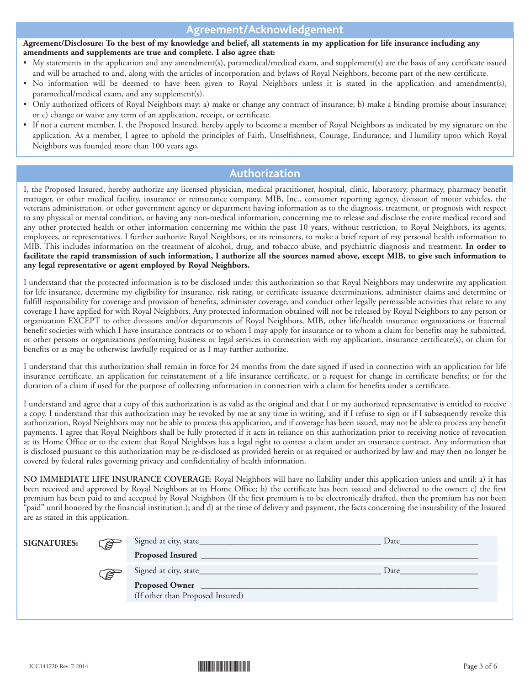## **Agreement/Acknowledgement**

#### Agreement/Disclosure: To the best of my knowledge and belief, all statements in my application for life insurance including any **amendments and supplements are true and complete. I also agree that:**

- My statements in the application and any amendment(s), paramedical/medical exam, and supplement(s) are the basis of any certificate issued and will be attached to and, along with the articles of incorporation and bylaws of Royal Neighbors, become part of the new certificate.
- No information will be deemed to have been given to Royal Neighbors unless it is stated in the application and amendment(s), paramedical/medical exam, and any supplement(s).
- Only authorized officers of Royal Neighbors may: a) make or change any contract of insurance; b) make a binding promise about insurance; or c) change or waive any term of an application, receipt, or certificate.
- If not a current member, I, the Proposed Insured, hereby apply to become a member of Royal Neighbors as indicated by my signature on the application. As a member, I agree to uphold the principles of Faith, Unselfishness, Courage, Endurance, and Humility upon which Royal Neighbors was founded more than 100 years ago.

### **Authorization**

I, the Proposed Insured, hereby authorize any licensed physician, medical practitioner, hospital, clinic, laboratory, pharmacy, pharmacy benefit manager, or other medical facility, insurance or reinsurance company, MIB, Inc., consumer reporting agency, division of motor vehicles, the veterans administration, or other government agency or department having information as to the diagnosis, treatment, or prognosis with respect to any physical or mental condition, or having any non-medical information, concerning me to release and disclose the entire medical record and any other protected health or other information concerning me within the past 10 years, without restriction, to Royal Neighbors, its agents, employees, or representatives. I further authorize Royal Neighbors, or its reinsurers, to make a brief report of my personal health information to MIB. This includes information on the treatment of alcohol, drug, and tobacco abuse, and psychiatric diagnosis and treatment. **In order to** facilitate the rapid transmission of such information, I authorize all the sources named above, except MIB, to give such information to **any legal representative or agent employed by Royal Neighbors.**

I understand that the protected information is to be disclosed under this authorization so that Royal Neighbors may underwrite my application for life insurance, determine my eligibility for insurance, risk rating, or certificate issuance determinations, administer claims and determine or fulfill responsibility for coverage and provision of benefits, administer coverage, and conduct other legally permissible activities that relate to any coverage I have applied for with Royal Neighbors. Any protected information obtained will not be released by Royal Neighbors to any person or organization EXCEPT to other divisions and/or departments of Royal Neighbors, MIB, other life/health insurance organizations or fraternal benefit societies with which I have insurance contracts or to whom I may apply for insurance or to whom a claim for benefits may be submitted, or other persons or organizations performing business or legal services in connection with my application, insurance certificate(s), or claim for benefits or as may be otherwise lawfully required or as I may further authorize.

I understand that this authorization shall remain in force for 24 months from the date signed if used in connection with an application for life insurance certificate, an application for reinstatement of a life insurance certificate, or a request for change in certificate benefits; or for the duration of a claim if used for the purpose of collecting information in connection with a claim for benefits under a certificate.

I understand and agree that a copy of this authorization is as valid as the original and that I or my authorized representative is entitled to receive a copy. I understand that this authorization may be revoked by me at any time in writing, and if I refuse to sign or if I subsequently revoke this authorization, Royal Neighbors may not be able to process this application, and if coverage has been issued, may not be able to process any benefit payments. I agree that Royal Neighbors shall be fully protected if it acts in reliance on this authorization prior to receiving notice of revocation at its Home Office or to the extent that Royal Neighbors has a legal right to contest a claim under an insurance contract. Any information that is disclosed pursuant to this authorization may be re-disclosed as provided herein or as required or authorized by law and may then no longer be covered by federal rules governing privacy and confidentiality of health information.

**NO IMMEDIATE LIFE INSURANCE COVERAGE:** Royal Neighbors will have no liability under this application unless and until: a) it has been received and approved by Royal Neighbors at its Home Office; b) the certificate has been issued and delivered to the owner; c) the first premium has been paid to and accepted by Royal Neighbors (If the first premium is to be electronically drafted, then the premium has not been "paid" until honored by the financial institution.); and d) at the time of delivery and payment, the facts concerning the insurability of the Insured are as stated in this application.

| <b>SIGNATURES:</b> | ි දිවි |                                  | Date |
|--------------------|--------|----------------------------------|------|
|                    |        |                                  |      |
|                    | كالكلم |                                  | Date |
|                    |        | Proposed Owner                   |      |
|                    |        | (If other than Proposed Insured) |      |
|                    |        |                                  |      |

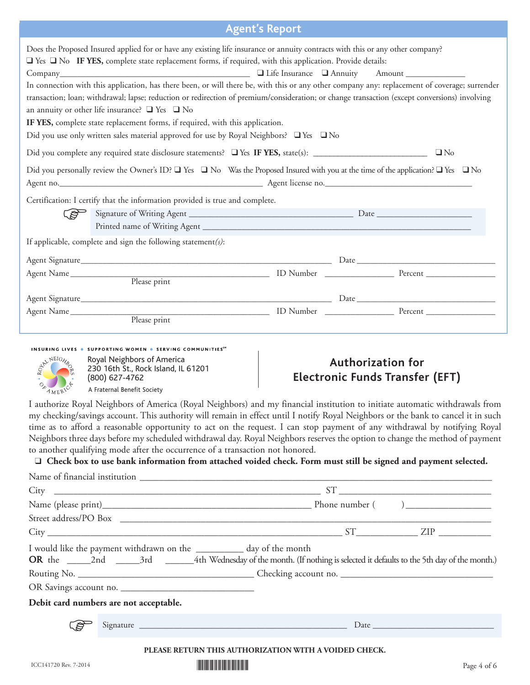## **Agent's Report**

| <i><b>INSTITUTION</b></i>                                                                                                                                                                                                                                                                                                                                                                                                                                                                                                                                                                                                                                                                                                                                                                                                                                                                                                                                                                                                                         |                                                                                                                                                                                                                                |  |                                        |  |  |
|---------------------------------------------------------------------------------------------------------------------------------------------------------------------------------------------------------------------------------------------------------------------------------------------------------------------------------------------------------------------------------------------------------------------------------------------------------------------------------------------------------------------------------------------------------------------------------------------------------------------------------------------------------------------------------------------------------------------------------------------------------------------------------------------------------------------------------------------------------------------------------------------------------------------------------------------------------------------------------------------------------------------------------------------------|--------------------------------------------------------------------------------------------------------------------------------------------------------------------------------------------------------------------------------|--|----------------------------------------|--|--|
| Does the Proposed Insured applied for or have any existing life insurance or annuity contracts with this or any other company?<br>$\square$ Yes $\square$ No IF YES, complete state replacement forms, if required, with this application. Provide details:<br>Company Amount Amount Company Company Company Company Amount Company Amount Company Amount Company Company Company Company Company Company Company Company Company Company Company Company Company Company Company Company Com<br>In connection with this application, has there been, or will there be, with this or any other company any: replacement of coverage; surrender<br>transaction; loan; withdrawal; lapse; reduction or redirection of premium/consideration; or change transaction (except conversions) involving<br>an annuity or other life insurance? $\Box$ Yes $\Box$ No<br>IF YES, complete state replacement forms, if required, with this application.<br>Did you use only written sales material approved for use by Royal Neighbors? $\Box$ Yes $\Box$ No |                                                                                                                                                                                                                                |  |                                        |  |  |
| $\Box$ No                                                                                                                                                                                                                                                                                                                                                                                                                                                                                                                                                                                                                                                                                                                                                                                                                                                                                                                                                                                                                                         |                                                                                                                                                                                                                                |  |                                        |  |  |
| Did you personally review the Owner's ID? $\Box$ Yes $\Box$ No Was the Proposed Insured with you at the time of the application? $\Box$ Yes $\Box$ No<br>Agent no. 1990 March 2010 March 2010 March 2010 March 2010 March 2010 March 2010 March 2010 March 2010 March 20                                                                                                                                                                                                                                                                                                                                                                                                                                                                                                                                                                                                                                                                                                                                                                          |                                                                                                                                                                                                                                |  |                                        |  |  |
|                                                                                                                                                                                                                                                                                                                                                                                                                                                                                                                                                                                                                                                                                                                                                                                                                                                                                                                                                                                                                                                   | Certification: I certify that the information provided is true and complete.                                                                                                                                                   |  |                                        |  |  |
|                                                                                                                                                                                                                                                                                                                                                                                                                                                                                                                                                                                                                                                                                                                                                                                                                                                                                                                                                                                                                                                   |                                                                                                                                                                                                                                |  |                                        |  |  |
|                                                                                                                                                                                                                                                                                                                                                                                                                                                                                                                                                                                                                                                                                                                                                                                                                                                                                                                                                                                                                                                   |                                                                                                                                                                                                                                |  |                                        |  |  |
|                                                                                                                                                                                                                                                                                                                                                                                                                                                                                                                                                                                                                                                                                                                                                                                                                                                                                                                                                                                                                                                   | If applicable, complete and sign the following statement(s):                                                                                                                                                                   |  |                                        |  |  |
|                                                                                                                                                                                                                                                                                                                                                                                                                                                                                                                                                                                                                                                                                                                                                                                                                                                                                                                                                                                                                                                   |                                                                                                                                                                                                                                |  |                                        |  |  |
|                                                                                                                                                                                                                                                                                                                                                                                                                                                                                                                                                                                                                                                                                                                                                                                                                                                                                                                                                                                                                                                   |                                                                                                                                                                                                                                |  |                                        |  |  |
|                                                                                                                                                                                                                                                                                                                                                                                                                                                                                                                                                                                                                                                                                                                                                                                                                                                                                                                                                                                                                                                   |                                                                                                                                                                                                                                |  |                                        |  |  |
|                                                                                                                                                                                                                                                                                                                                                                                                                                                                                                                                                                                                                                                                                                                                                                                                                                                                                                                                                                                                                                                   |                                                                                                                                                                                                                                |  |                                        |  |  |
|                                                                                                                                                                                                                                                                                                                                                                                                                                                                                                                                                                                                                                                                                                                                                                                                                                                                                                                                                                                                                                                   | Agent Name Please print Please print Please print Please print Please print Please print Please print Please print Please print Please print Please print Please print Please print Please print Please print Please print Ple |  |                                        |  |  |
|                                                                                                                                                                                                                                                                                                                                                                                                                                                                                                                                                                                                                                                                                                                                                                                                                                                                                                                                                                                                                                                   |                                                                                                                                                                                                                                |  |                                        |  |  |
|                                                                                                                                                                                                                                                                                                                                                                                                                                                                                                                                                                                                                                                                                                                                                                                                                                                                                                                                                                                                                                                   | INSURING LIVES . SUPPORTING WOMEN . SERVING COMMUNITIES <sup>SM</sup>                                                                                                                                                          |  |                                        |  |  |
|                                                                                                                                                                                                                                                                                                                                                                                                                                                                                                                                                                                                                                                                                                                                                                                                                                                                                                                                                                                                                                                   | Royal Neighbors of America                                                                                                                                                                                                     |  | <b>Authorization for</b>               |  |  |
|                                                                                                                                                                                                                                                                                                                                                                                                                                                                                                                                                                                                                                                                                                                                                                                                                                                                                                                                                                                                                                                   | 230 16th St., Rock Island, IL 61201<br>(800) 627-4762                                                                                                                                                                          |  | <b>Electronic Funds Transfer (EFT)</b> |  |  |
| OR AMERICANS                                                                                                                                                                                                                                                                                                                                                                                                                                                                                                                                                                                                                                                                                                                                                                                                                                                                                                                                                                                                                                      | A Fraternal Benefit Society                                                                                                                                                                                                    |  |                                        |  |  |
|                                                                                                                                                                                                                                                                                                                                                                                                                                                                                                                                                                                                                                                                                                                                                                                                                                                                                                                                                                                                                                                   | Louchaire Davel Neighbourgh America (Davel Neighbous) and not financial institution to initiate supervation with duarrals fuom                                                                                                 |  |                                        |  |  |

I authorize Royal Neighbors of America (Royal Neighbors) and my financial institution to initiate automatic withdrawals from my checking/savings account. This authority will remain in effect until I notify Royal Neighbors or the bank to cancel it in such time as to afford a reasonable opportunity to act on the request. I can stop payment of any withdrawal by notifying Royal Neighbors three days before my scheduled withdrawal day. Royal Neighbors reserves the option to change the method of payment to another qualifying mode after the occurrence of a transaction not honored.

#### □ Check box to use bank information from attached voided check. Form must still be signed and payment selected.

|                                        | $City$ $ST$ $ZIP$ $ZIP$                                               |             |
|----------------------------------------|-----------------------------------------------------------------------|-------------|
| Debit card numbers are not acceptable. | I would like the payment withdrawn on the __________ day of the month |             |
|                                        |                                                                       |             |
| ICC141720 Rev. 7-2014                  | PLEASE RETURN THIS AUTHORIZATION WITH A VOIDED CHECK.                 | Page 4 of 6 |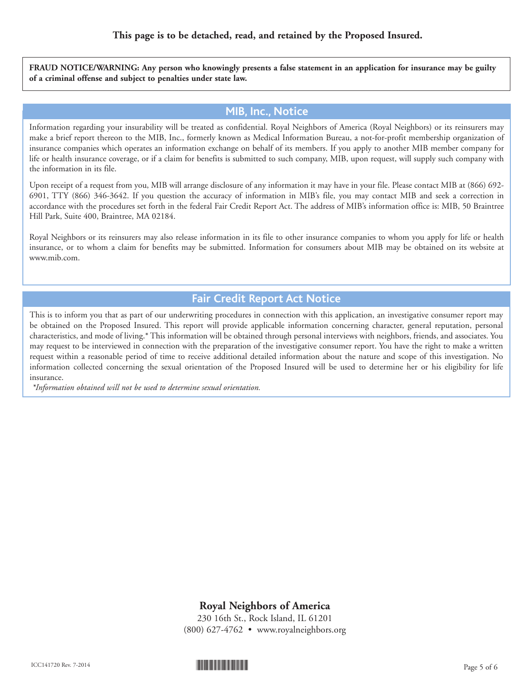FRAUD NOTICE/WARNING: Any person who knowingly presents a false statement in an application for insurance may be guilty **of a criminal offense and subject to penalties under state law.**

#### **MIB, Inc., Notice**

Information regarding your insurability will be treated as confidential. Royal Neighbors of America (Royal Neighbors) or its reinsurers may make a brief report thereon to the MIB, Inc., formerly known as Medical Information Bureau, a not-for-profit membership organization of insurance companies which operates an information exchange on behalf of its members. If you apply to another MIB member company for life or health insurance coverage, or if a claim for benefits is submitted to such company, MIB, upon request, will supply such company with the information in its file.

Upon receipt of a request from you, MIB will arrange disclosure of any information it may have in your file. Please contact MIB at (866) 692- 6901, TTY (866) 346-3642. If you question the accuracy of information in MIB's file, you may contact MIB and seek a correction in accordance with the procedures set forth in the federal Fair Credit Report Act. The address of MIB's information office is: MIB, 50 Braintree Hill Park, Suite 400, Braintree, MA 02184.

Royal Neighbors or its reinsurers may also release information in its file to other insurance companies to whom you apply for life or health insurance, or to whom a claim for benefits may be submitted. Information for consumers about MIB may be obtained on its website at www.mib.com.

### **Fair Credit Report Act Notice**

This is to inform you that as part of our underwriting procedures in connection with this application, an investigative consumer report may be obtained on the Proposed Insured. This report will provide applicable information concerning character, general reputation, personal characteristics, and mode of living.\* This information will be obtained through personal interviews with neighbors, friends, and associates. You may request to be interviewed in connection with the preparation of the investigative consumer report. You have the right to make a written request within a reasonable period of time to receive additional detailed information about the nature and scope of this investigation. No information collected concerning the sexual orientation of the Proposed Insured will be used to determine her or his eligibility for life insurance.

*\*Information obtained will not be used to determine sexual orientation.*

#### **Royal Neighbors of America**

230 16th St., Rock Island, IL 61201 (800) 627-4762 • www.royalneighbors.org

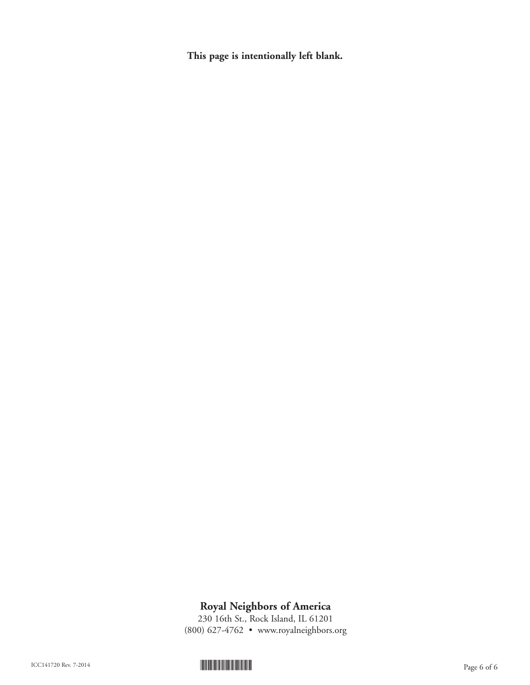**This page is intentionally left blank.**

## **Royal Neighbors of America**

230 16th St., Rock Island, IL 61201 (800) 627-4762 • www.royalneighbors.org